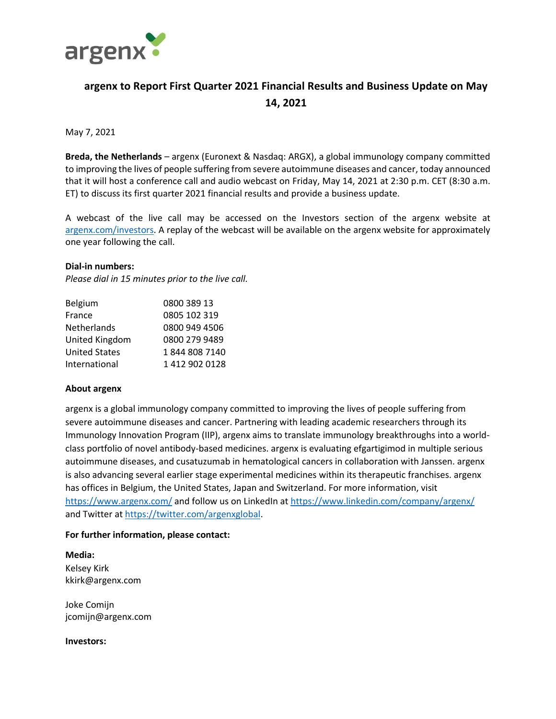

# **argenx to Report First Quarter 2021 Financial Results and Business Update on May 14, 2021**

## May 7, 2021

**Breda, the Netherlands** – argenx (Euronext & Nasdaq: ARGX), a global immunology company committed to improving the lives of people suffering from severe autoimmune diseases and cancer, today announced that it will host a conference call and audio webcast on Friday, May 14, 2021 at 2:30 p.m. CET (8:30 a.m. ET) to discuss its first quarter 2021 financial results and provide a business update.

A webcast of the live call may be accessed on the Investors section of the argenx website at [argenx.com/investors.](https://www.argenx.com/investors) A replay of the webcast will be available on the argenx website for approximately one year following the call.

### **Dial-in numbers:**

*Please dial in 15 minutes prior to the live call.*

| 0800 389 13   |
|---------------|
| 0805 102 319  |
| 0800 949 4506 |
| 0800 279 9489 |
| 18448087140   |
| 14129020128   |
|               |

### **About argenx**

argenx is a global immunology company committed to improving the lives of people suffering from severe autoimmune diseases and cancer. Partnering with leading academic researchers through its Immunology Innovation Program (IIP), argenx aims to translate immunology breakthroughs into a worldclass portfolio of novel antibody-based medicines. argenx is evaluating efgartigimod in multiple serious autoimmune diseases, and cusatuzumab in hematological cancers in collaboration with Janssen. argenx is also advancing several earlier stage experimental medicines within its therapeutic franchises. argenx has offices in Belgium, the United States, Japan and Switzerland. For more information, visit <https://www.argenx.com/> and follow us on LinkedIn at<https://www.linkedin.com/company/argenx/> and Twitter a[t https://twitter.com/argenxglobal.](https://twitter.com/argenxglobal)

### **For further information, please contact:**

**Media:** Kelsey Kirk kkirk@argenx.com

Joke Comijn jcomijn@argenx.com

**Investors:**